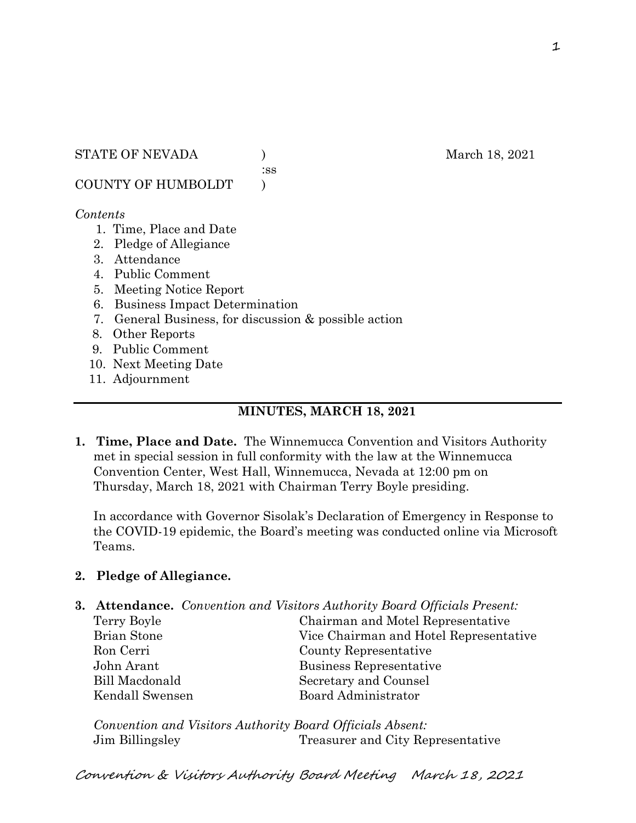:ss

COUNTY OF HUMBOLDT )

## *Contents*

- 1. Time, Place and Date
- 2. Pledge of Allegiance
- 3. Attendance
- 4. Public Comment
- 5. Meeting Notice Report
- 6. Business Impact Determination
- 7. General Business, for discussion & possible action
- 8. Other Reports
- 9. Public Comment
- 10. Next Meeting Date
- 11. Adjournment

# **MINUTES, MARCH 18, 2021**

**1. Time, Place and Date.** The Winnemucca Convention and Visitors Authority met in special session in full conformity with the law at the Winnemucca Convention Center, West Hall, Winnemucca, Nevada at 12:00 pm on Thursday, March 18, 2021 with Chairman Terry Boyle presiding.

In accordance with Governor Sisolak's Declaration of Emergency in Response to the COVID-19 epidemic, the Board's meeting was conducted online via Microsoft Teams.

## **2. Pledge of Allegiance.**

**3. Attendance.** *Convention and Visitors Authority Board Officials Present:* Terry Boyle Chairman and Motel Representative Brian Stone Vice Chairman and Hotel Representative Ron Cerri County Representative John Arant Business Representative Bill Macdonald Secretary and Counsel Kendall Swensen Board Administrator

*Convention and Visitors Authority Board Officials Absent:* Jim Billingsley Treasurer and City Representative

Convention & Visitors Authority Board Meeting March 18, 2021

1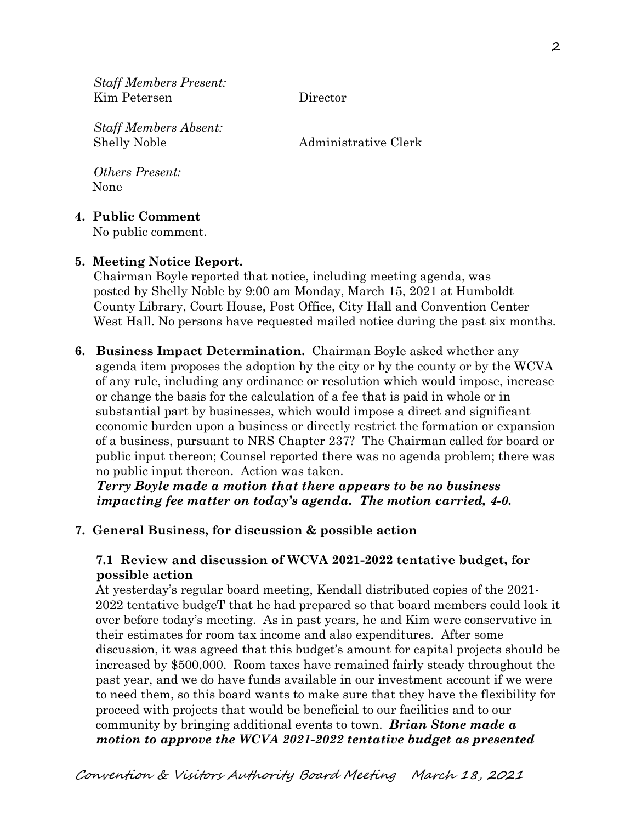*Staff Members Present:* Kim Petersen Director

*Staff Members Absent:* Shelly Noble Administrative Clerk

*Others Present:* None

## **4. Public Comment**

No public comment.

#### **5. Meeting Notice Report.**

Chairman Boyle reported that notice, including meeting agenda, was posted by Shelly Noble by 9:00 am Monday, March 15, 2021 at Humboldt County Library, Court House, Post Office, City Hall and Convention Center West Hall. No persons have requested mailed notice during the past six months.

**6. Business Impact Determination.** Chairman Boyle asked whether any agenda item proposes the adoption by the city or by the county or by the WCVA of any rule, including any ordinance or resolution which would impose, increase or change the basis for the calculation of a fee that is paid in whole or in substantial part by businesses, which would impose a direct and significant economic burden upon a business or directly restrict the formation or expansion of a business, pursuant to NRS Chapter 237? The Chairman called for board or public input thereon; Counsel reported there was no agenda problem; there was no public input thereon. Action was taken.

 *Terry Boyle made a motion that there appears to be no business impacting fee matter on today's agenda. The motion carried, 4-0.* 

#### **7. General Business, for discussion & possible action**

### **7.1 Review and discussion of WCVA 2021-2022 tentative budget, for possible action**

 At yesterday's regular board meeting, Kendall distributed copies of the 2021- 2022 tentative budgeT that he had prepared so that board members could look it over before today's meeting. As in past years, he and Kim were conservative in their estimates for room tax income and also expenditures. After some discussion, it was agreed that this budget's amount for capital projects should be increased by \$500,000. Room taxes have remained fairly steady throughout the past year, and we do have funds available in our investment account if we were to need them, so this board wants to make sure that they have the flexibility for proceed with projects that would be beneficial to our facilities and to our community by bringing additional events to town. *Brian Stone made a motion to approve the WCVA 2021-2022 tentative budget as presented*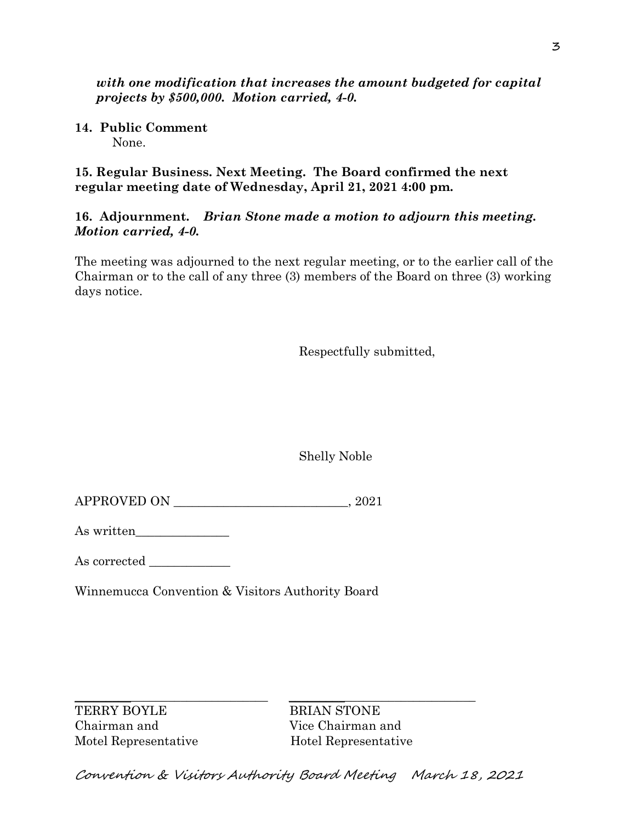*with one modification that increases the amount budgeted for capital projects by \$500,000. Motion carried, 4-0.*

**14. Public Comment** None.

**15. Regular Business. Next Meeting. The Board confirmed the next regular meeting date of Wednesday, April 21, 2021 4:00 pm.** 

**16. Adjournment.** *Brian Stone made a motion to adjourn this meeting. Motion carried, 4-0.*

The meeting was adjourned to the next regular meeting, or to the earlier call of the Chairman or to the call of any three (3) members of the Board on three (3) working days notice.

Respectfully submitted,

Shelly Noble

As written\_\_\_\_\_\_\_\_\_\_\_\_\_\_\_

As corrected

Winnemucca Convention & Visitors Authority Board

\_\_\_\_\_\_\_\_\_\_\_\_\_\_\_\_\_\_\_\_\_\_\_\_\_\_\_\_\_\_\_ \_\_\_\_\_\_\_\_\_\_\_\_\_\_\_\_\_\_\_\_\_\_\_\_\_\_\_\_\_\_ TERRY BOYLE BRIAN STONE Chairman and Vice Chairman and Motel Representative Hotel Representative

Convention & Visitors Authority Board Meeting March 18, 2021